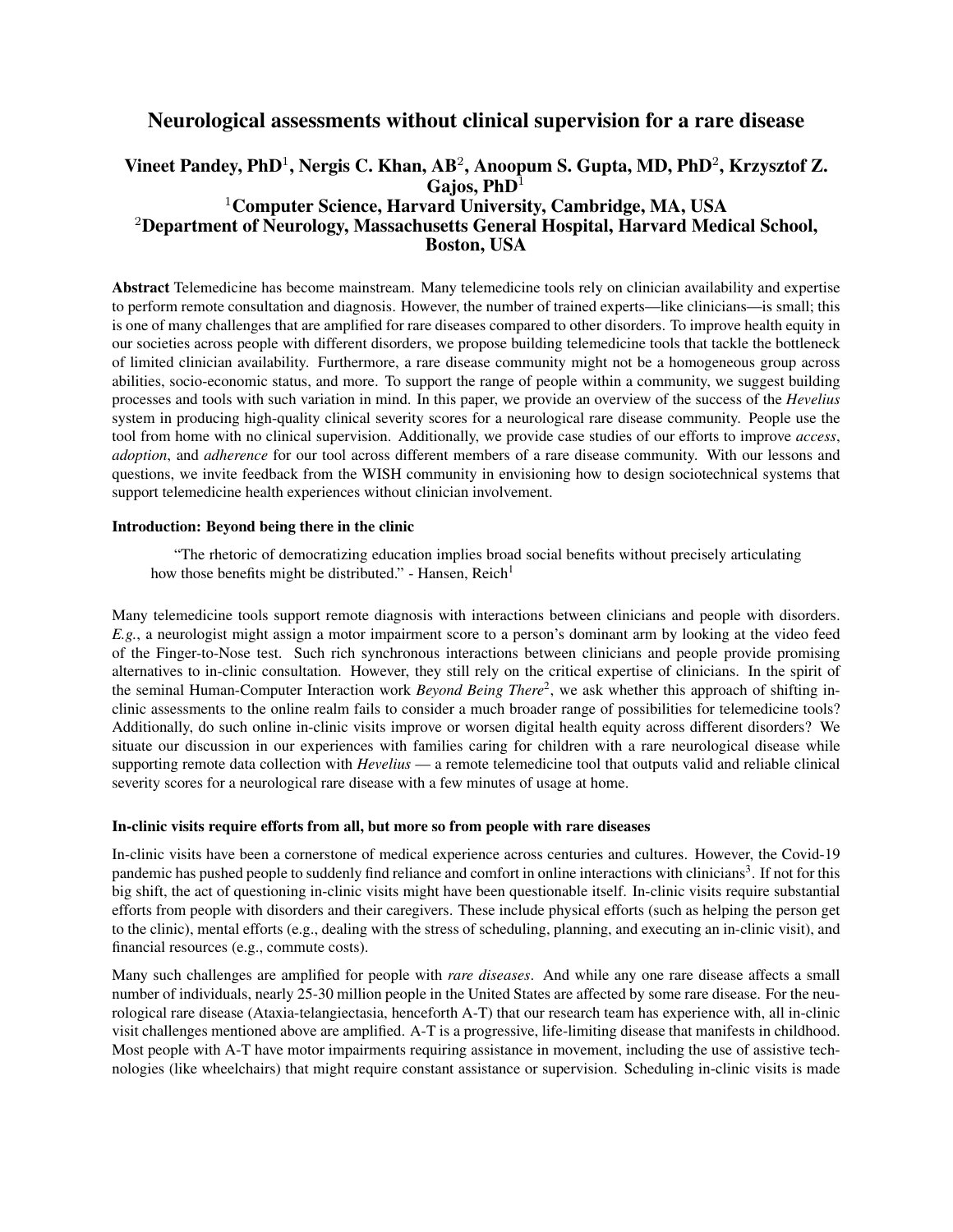# Neurological assessments without clinical supervision for a rare disease

# Vineet Pandey, PhD<sup>1</sup>, Nergis C. Khan, AB<sup>2</sup>, Anoopum S. Gupta, MD, PhD<sup>2</sup>, Krzysztof Z. Gajos,  $PhD<sup>1</sup>$ <sup>1</sup>Computer Science, Harvard University, Cambridge, MA, USA <sup>2</sup>Department of Neurology, Massachusetts General Hospital, Harvard Medical School, Boston, USA

Abstract Telemedicine has become mainstream. Many telemedicine tools rely on clinician availability and expertise to perform remote consultation and diagnosis. However, the number of trained experts—like clinicians—is small; this is one of many challenges that are amplified for rare diseases compared to other disorders. To improve health equity in our societies across people with different disorders, we propose building telemedicine tools that tackle the bottleneck of limited clinician availability. Furthermore, a rare disease community might not be a homogeneous group across abilities, socio-economic status, and more. To support the range of people within a community, we suggest building processes and tools with such variation in mind. In this paper, we provide an overview of the success of the *Hevelius* system in producing high-quality clinical severity scores for a neurological rare disease community. People use the tool from home with no clinical supervision. Additionally, we provide case studies of our efforts to improve *access*, *adoption*, and *adherence* for our tool across different members of a rare disease community. With our lessons and questions, we invite feedback from the WISH community in envisioning how to design sociotechnical systems that support telemedicine health experiences without clinician involvement.

#### Introduction: Beyond being there in the clinic

"The rhetoric of democratizing education implies broad social benefits without precisely articulating how those benefits might be distributed." - Hansen, Reich<sup>1</sup>

Many telemedicine tools support remote diagnosis with interactions between clinicians and people with disorders. *E.g.*, a neurologist might assign a motor impairment score to a person's dominant arm by looking at the video feed of the Finger-to-Nose test. Such rich synchronous interactions between clinicians and people provide promising alternatives to in-clinic consultation. However, they still rely on the critical expertise of clinicians. In the spirit of the seminal Human-Computer Interaction work *Beyond Being There<sup>2</sup>*, we ask whether this approach of shifting inclinic assessments to the online realm fails to consider a much broader range of possibilities for telemedicine tools? Additionally, do such online in-clinic visits improve or worsen digital health equity across different disorders? We situate our discussion in our experiences with families caring for children with a rare neurological disease while supporting remote data collection with *Hevelius* — a remote telemedicine tool that outputs valid and reliable clinical severity scores for a neurological rare disease with a few minutes of usage at home.

#### In-clinic visits require efforts from all, but more so from people with rare diseases

In-clinic visits have been a cornerstone of medical experience across centuries and cultures. However, the Covid-19 pandemic has pushed people to suddenly find reliance and comfort in online interactions with clinicians<sup>3</sup>. If not for this big shift, the act of questioning in-clinic visits might have been questionable itself. In-clinic visits require substantial efforts from people with disorders and their caregivers. These include physical efforts (such as helping the person get to the clinic), mental efforts (e.g., dealing with the stress of scheduling, planning, and executing an in-clinic visit), and financial resources (e.g., commute costs).

Many such challenges are amplified for people with *rare diseases*. And while any one rare disease affects a small number of individuals, nearly 25-30 million people in the United States are affected by some rare disease. For the neurological rare disease (Ataxia-telangiectasia, henceforth A-T) that our research team has experience with, all in-clinic visit challenges mentioned above are amplified. A-T is a progressive, life-limiting disease that manifests in childhood. Most people with A-T have motor impairments requiring assistance in movement, including the use of assistive technologies (like wheelchairs) that might require constant assistance or supervision. Scheduling in-clinic visits is made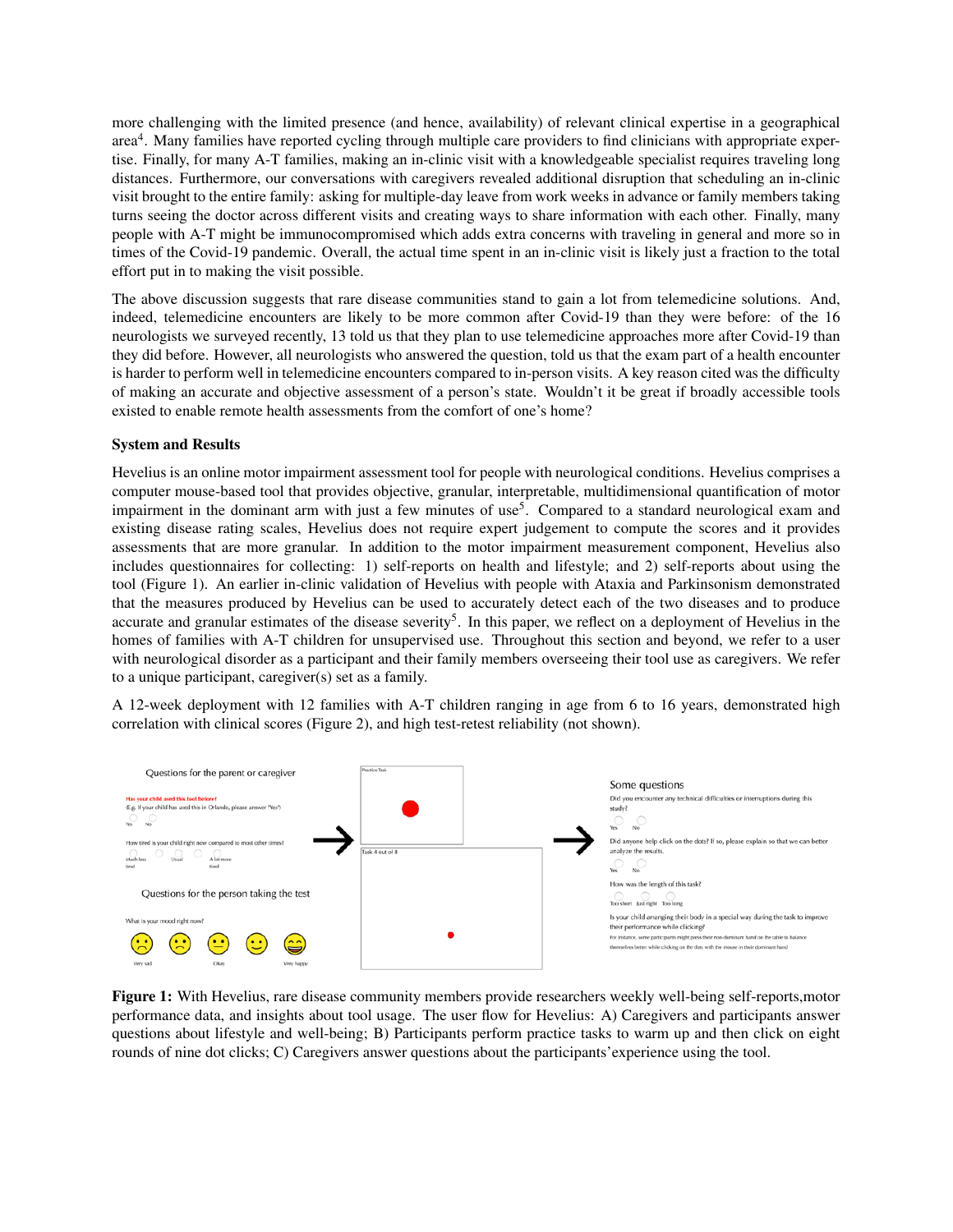more challenging with the limited presence (and hence, availability) of relevant clinical expertise in a geographical area<sup>4</sup>. Many families have reported cycling through multiple care providers to find clinicians with appropriate expertise. Finally, for many A-T families, making an in-clinic visit with a knowledgeable specialist requires traveling long distances. Furthermore, our conversations with caregivers revealed additional disruption that scheduling an in-clinic visit brought to the entire family: asking for multiple-day leave from work weeks in advance or family members taking turns seeing the doctor across different visits and creating ways to share information with each other. Finally, many people with A-T might be immunocompromised which adds extra concerns with traveling in general and more so in times of the Covid-19 pandemic. Overall, the actual time spent in an in-clinic visit is likely just a fraction to the total effort put in to making the visit possible.

The above discussion suggests that rare disease communities stand to gain a lot from telemedicine solutions. And, indeed, telemedicine encounters are likely to be more common after Covid-19 than they were before: of the 16 neurologists we surveyed recently, 13 told us that they plan to use telemedicine approaches more after Covid-19 than they did before. However, all neurologists who answered the question, told us that the exam part of a health encounter is harder to perform well in telemedicine encounters compared to in-person visits. A key reason cited was the difficulty of making an accurate and objective assessment of a person's state. Wouldn't it be great if broadly accessible tools existed to enable remote health assessments from the comfort of one's home?

#### System and Results

Hevelius is an online motor impairment assessment tool for people with neurological conditions. Hevelius comprises a computer mouse-based tool that provides objective, granular, interpretable, multidimensional quantification of motor impairment in the dominant arm with just a few minutes of use<sup>5</sup>. Compared to a standard neurological exam and existing disease rating scales, Hevelius does not require expert judgement to compute the scores and it provides assessments that are more granular. In addition to the motor impairment measurement component, Hevelius also includes questionnaires for collecting: 1) self-reports on health and lifestyle; and 2) self-reports about using the tool (Figure 1). An earlier in-clinic validation of Hevelius with people with Ataxia and Parkinsonism demonstrated that the measures produced by Hevelius can be used to accurately detect each of the two diseases and to produce accurate and granular estimates of the disease severity<sup>5</sup>. In this paper, we reflect on a deployment of Hevelius in the homes of families with A-T children for unsupervised use. Throughout this section and beyond, we refer to a user with neurological disorder as a participant and their family members overseeing their tool use as caregivers. We refer to a unique participant, caregiver(s) set as a family.

A 12-week deployment with 12 families with A-T children ranging in age from 6 to 16 years, demonstrated high correlation with clinical scores (Figure 2), and high test-retest reliability (not shown).



Figure 1: With Hevelius, rare disease community members provide researchers weekly well-being self-reports,motor performance data, and insights about tool usage. The user flow for Hevelius: A) Caregivers and participants answer questions about lifestyle and well-being; B) Participants perform practice tasks to warm up and then click on eight rounds of nine dot clicks; C) Caregivers answer questions about the participants' experience using the tool.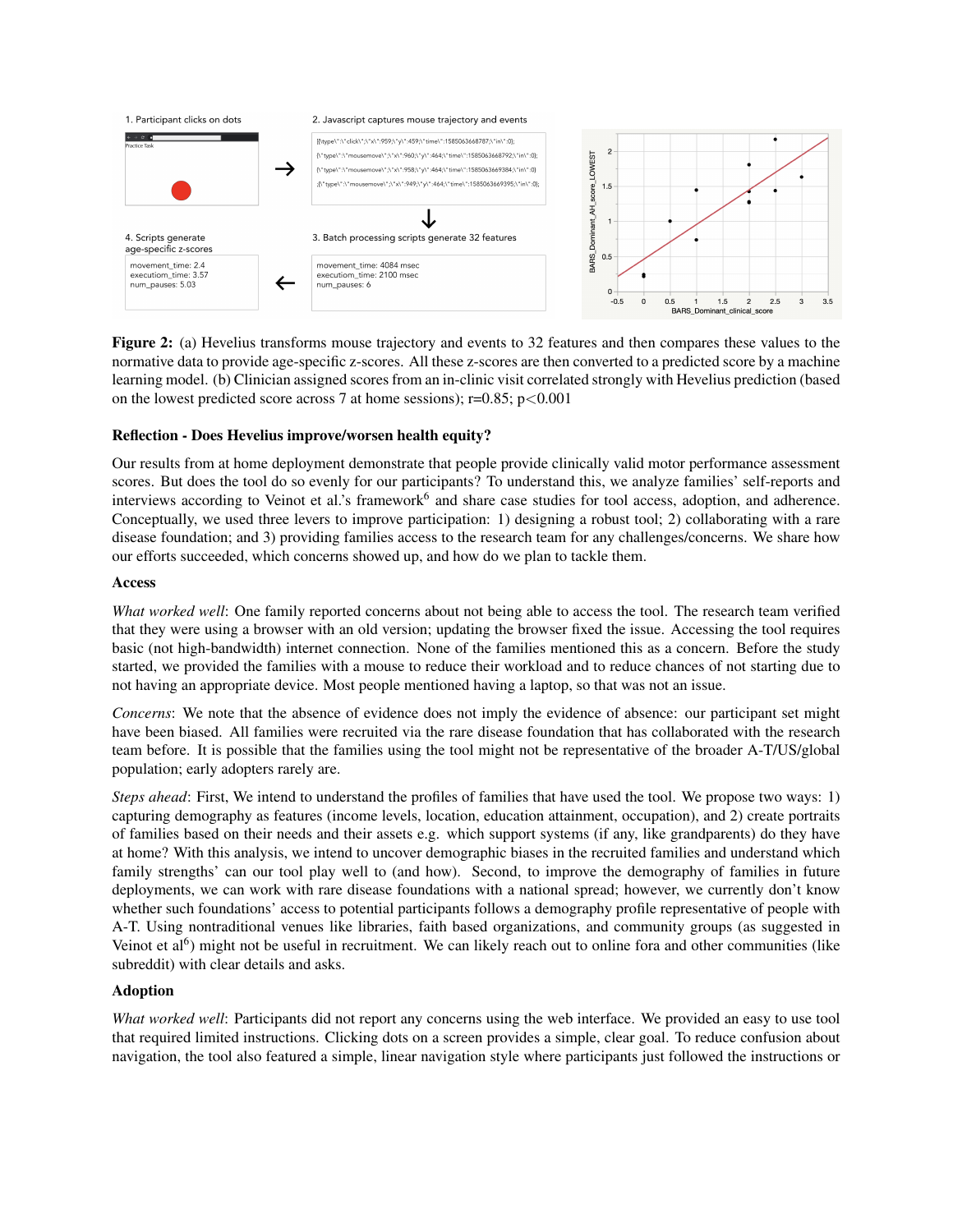

Figure 2: (a) Hevelius transforms mouse trajectory and events to 32 features and then compares these values to the normative data to provide age-specific z-scores. All these z-scores are then converted to a predicted score by a machine learning model. (b) Clinician assigned scores from an in-clinic visit correlated strongly with Hevelius prediction (based on the lowest predicted score across 7 at home sessions);  $r=0.85$ ;  $p<0.001$ 

## Reflection - Does Hevelius improve/worsen health equity?

Our results from at home deployment demonstrate that people provide clinically valid motor performance assessment scores. But does the tool do so evenly for our participants? To understand this, we analyze families' self-reports and interviews according to Veinot et al.'s framework<sup>6</sup> and share case studies for tool access, adoption, and adherence. Conceptually, we used three levers to improve participation: 1) designing a robust tool; 2) collaborating with a rare disease foundation; and 3) providing families access to the research team for any challenges/concerns. We share how our efforts succeeded, which concerns showed up, and how do we plan to tackle them.

#### Access

*What worked well*: One family reported concerns about not being able to access the tool. The research team verified that they were using a browser with an old version; updating the browser fixed the issue. Accessing the tool requires basic (not high-bandwidth) internet connection. None of the families mentioned this as a concern. Before the study started, we provided the families with a mouse to reduce their workload and to reduce chances of not starting due to not having an appropriate device. Most people mentioned having a laptop, so that was not an issue.

*Concerns*: We note that the absence of evidence does not imply the evidence of absence: our participant set might have been biased. All families were recruited via the rare disease foundation that has collaborated with the research team before. It is possible that the families using the tool might not be representative of the broader A-T/US/global population; early adopters rarely are.

*Steps ahead*: First, We intend to understand the profiles of families that have used the tool. We propose two ways: 1) capturing demography as features (income levels, location, education attainment, occupation), and 2) create portraits of families based on their needs and their assets e.g. which support systems (if any, like grandparents) do they have at home? With this analysis, we intend to uncover demographic biases in the recruited families and understand which family strengths' can our tool play well to (and how). Second, to improve the demography of families in future deployments, we can work with rare disease foundations with a national spread; however, we currently don't know whether such foundations' access to potential participants follows a demography profile representative of people with A-T. Using nontraditional venues like libraries, faith based organizations, and community groups (as suggested in Veinot et al<sup>6</sup>) might not be useful in recruitment. We can likely reach out to online fora and other communities (like subreddit) with clear details and asks.

# Adoption

*What worked well*: Participants did not report any concerns using the web interface. We provided an easy to use tool that required limited instructions. Clicking dots on a screen provides a simple, clear goal. To reduce confusion about navigation, the tool also featured a simple, linear navigation style where participants just followed the instructions or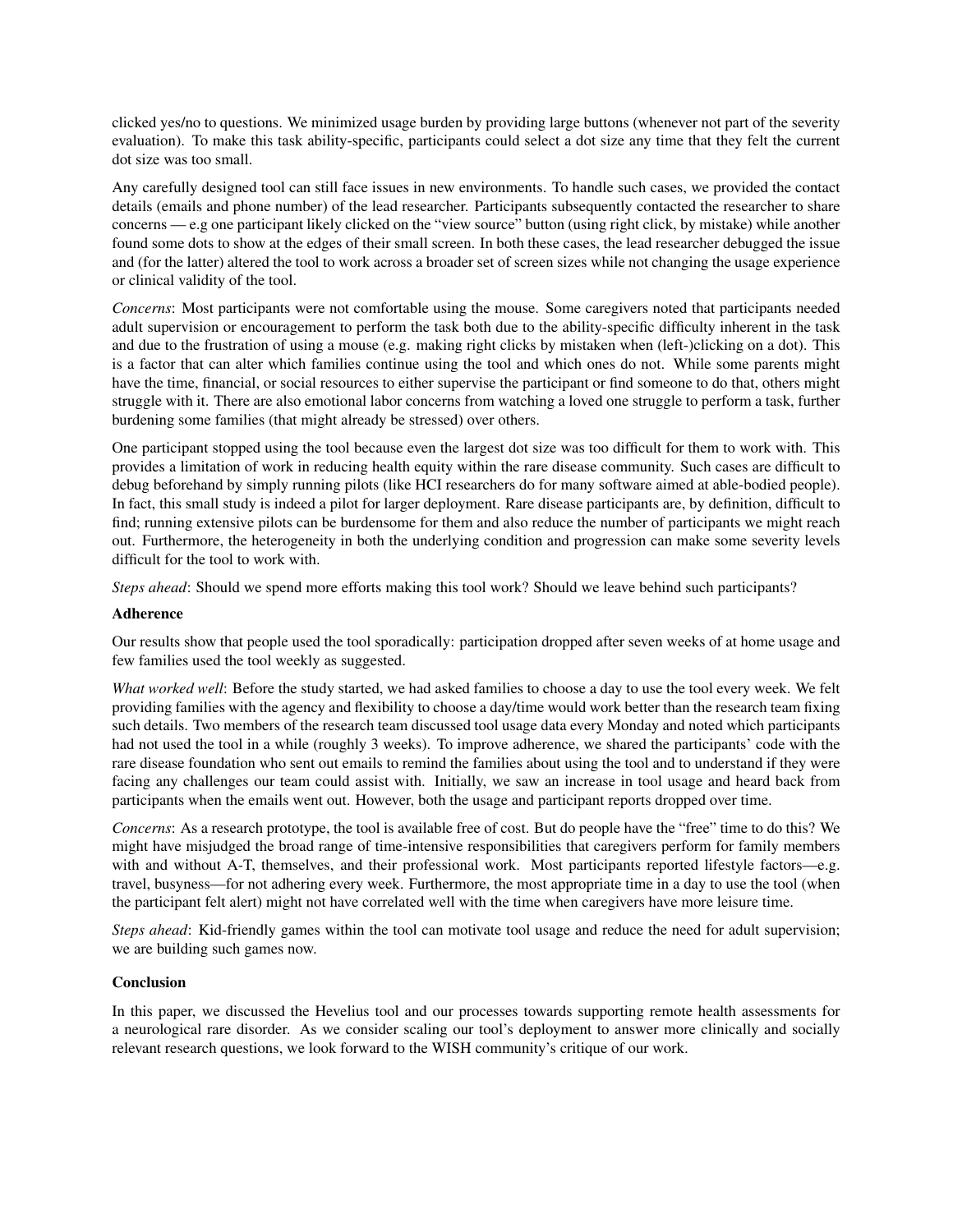clicked yes/no to questions. We minimized usage burden by providing large buttons (whenever not part of the severity evaluation). To make this task ability-specific, participants could select a dot size any time that they felt the current dot size was too small.

Any carefully designed tool can still face issues in new environments. To handle such cases, we provided the contact details (emails and phone number) of the lead researcher. Participants subsequently contacted the researcher to share concerns — e.g one participant likely clicked on the "view source" button (using right click, by mistake) while another found some dots to show at the edges of their small screen. In both these cases, the lead researcher debugged the issue and (for the latter) altered the tool to work across a broader set of screen sizes while not changing the usage experience or clinical validity of the tool.

*Concerns*: Most participants were not comfortable using the mouse. Some caregivers noted that participants needed adult supervision or encouragement to perform the task both due to the ability-specific difficulty inherent in the task and due to the frustration of using a mouse (e.g. making right clicks by mistaken when (left-)clicking on a dot). This is a factor that can alter which families continue using the tool and which ones do not. While some parents might have the time, financial, or social resources to either supervise the participant or find someone to do that, others might struggle with it. There are also emotional labor concerns from watching a loved one struggle to perform a task, further burdening some families (that might already be stressed) over others.

One participant stopped using the tool because even the largest dot size was too difficult for them to work with. This provides a limitation of work in reducing health equity within the rare disease community. Such cases are difficult to debug beforehand by simply running pilots (like HCI researchers do for many software aimed at able-bodied people). In fact, this small study is indeed a pilot for larger deployment. Rare disease participants are, by definition, difficult to find; running extensive pilots can be burdensome for them and also reduce the number of participants we might reach out. Furthermore, the heterogeneity in both the underlying condition and progression can make some severity levels difficult for the tool to work with.

*Steps ahead*: Should we spend more efforts making this tool work? Should we leave behind such participants?

### Adherence

Our results show that people used the tool sporadically: participation dropped after seven weeks of at home usage and few families used the tool weekly as suggested.

*What worked well*: Before the study started, we had asked families to choose a day to use the tool every week. We felt providing families with the agency and flexibility to choose a day/time would work better than the research team fixing such details. Two members of the research team discussed tool usage data every Monday and noted which participants had not used the tool in a while (roughly 3 weeks). To improve adherence, we shared the participants' code with the rare disease foundation who sent out emails to remind the families about using the tool and to understand if they were facing any challenges our team could assist with. Initially, we saw an increase in tool usage and heard back from participants when the emails went out. However, both the usage and participant reports dropped over time.

*Concerns*: As a research prototype, the tool is available free of cost. But do people have the "free" time to do this? We might have misjudged the broad range of time-intensive responsibilities that caregivers perform for family members with and without A-T, themselves, and their professional work. Most participants reported lifestyle factors—e.g. travel, busyness—for not adhering every week. Furthermore, the most appropriate time in a day to use the tool (when the participant felt alert) might not have correlated well with the time when caregivers have more leisure time.

*Steps ahead*: Kid-friendly games within the tool can motivate tool usage and reduce the need for adult supervision; we are building such games now.

### Conclusion

In this paper, we discussed the Hevelius tool and our processes towards supporting remote health assessments for a neurological rare disorder. As we consider scaling our tool's deployment to answer more clinically and socially relevant research questions, we look forward to the WISH community's critique of our work.